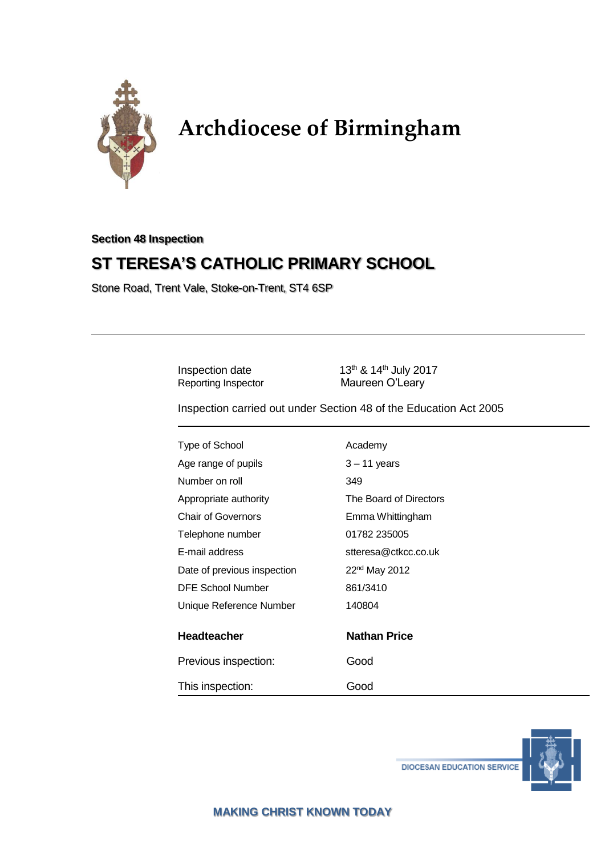

# **Archdiocese of Birmingham**

**Section 48 Inspection**

# **ST TERESA'S CATHOLIC PRIMARY SCHOOL**

Stone Road, Trent Vale, Stoke-on-Trent, ST4 6SP

Inspection date

13<sup>th</sup> & 14<sup>th</sup> July 2017 Reporting Inspector Maureen O'Leary

Inspection carried out under Section 48 of the Education Act 2005

| Type of School              | Academy                   |
|-----------------------------|---------------------------|
| Age range of pupils         | $3 - 11$ years            |
| Number on roll              | 349                       |
| Appropriate authority       | The Board of Directors    |
| Chair of Governors          | Emma Whittingham          |
| Telephone number            | 01782 235005              |
| E-mail address              | stteresa@ctkcc.co.uk      |
| Date of previous inspection | 22 <sup>nd</sup> May 2012 |
| DFE School Number           | 861/3410                  |
| Unique Reference Number     | 140804                    |
|                             |                           |
| Headteacher                 | <b>Nathan Price</b>       |
| Previous inspection:        | Good                      |
| This inspection:            | Good                      |



**DIOCESAN EDUCATION SERVICE**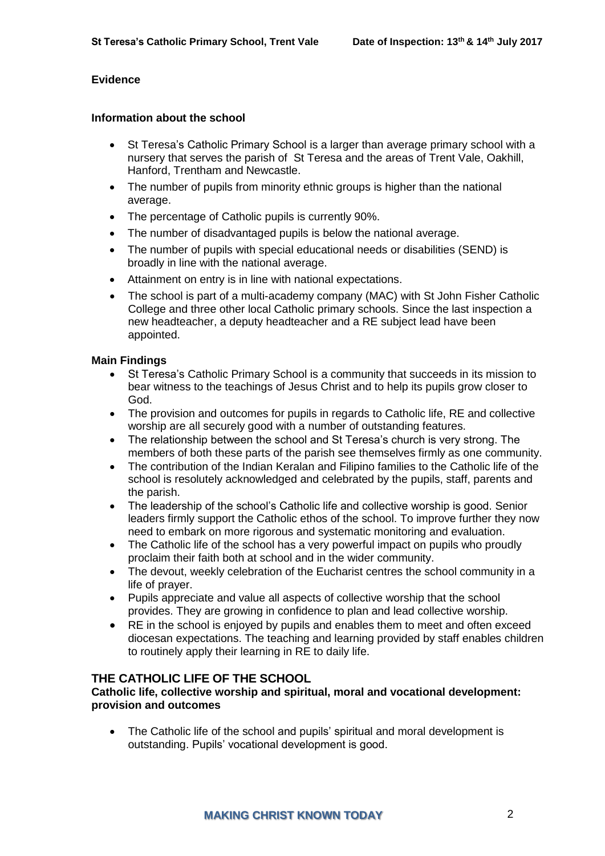# **Evidence**

# **Information about the school**

- St Teresa's Catholic Primary School is a larger than average primary school with a nursery that serves the parish of St Teresa and the areas of Trent Vale, Oakhill, Hanford, Trentham and Newcastle.
- The number of pupils from minority ethnic groups is higher than the national average.
- The percentage of Catholic pupils is currently 90%.
- The number of disadvantaged pupils is below the national average.
- The number of pupils with special educational needs or disabilities (SEND) is broadly in line with the national average.
- Attainment on entry is in line with national expectations.
- The school is part of a multi-academy company (MAC) with St John Fisher Catholic College and three other local Catholic primary schools. Since the last inspection a new headteacher, a deputy headteacher and a RE subject lead have been appointed.

#### **Main Findings**

- St Teresa's Catholic Primary School is a community that succeeds in its mission to bear witness to the teachings of Jesus Christ and to help its pupils grow closer to God.
- The provision and outcomes for pupils in regards to Catholic life, RE and collective worship are all securely good with a number of outstanding features.
- The relationship between the school and St Teresa's church is very strong. The members of both these parts of the parish see themselves firmly as one community.
- The contribution of the Indian Keralan and Filipino families to the Catholic life of the school is resolutely acknowledged and celebrated by the pupils, staff, parents and the parish.
- The leadership of the school's Catholic life and collective worship is good. Senior leaders firmly support the Catholic ethos of the school. To improve further they now need to embark on more rigorous and systematic monitoring and evaluation.
- The Catholic life of the school has a very powerful impact on pupils who proudly proclaim their faith both at school and in the wider community.
- The devout, weekly celebration of the Eucharist centres the school community in a life of prayer.
- Pupils appreciate and value all aspects of collective worship that the school provides. They are growing in confidence to plan and lead collective worship.
- RE in the school is enjoyed by pupils and enables them to meet and often exceed diocesan expectations. The teaching and learning provided by staff enables children to routinely apply their learning in RE to daily life.

# **THE CATHOLIC LIFE OF THE SCHOOL**

#### **Catholic life, collective worship and spiritual, moral and vocational development: provision and outcomes**

• The Catholic life of the school and pupils' spiritual and moral development is outstanding. Pupils' vocational development is good.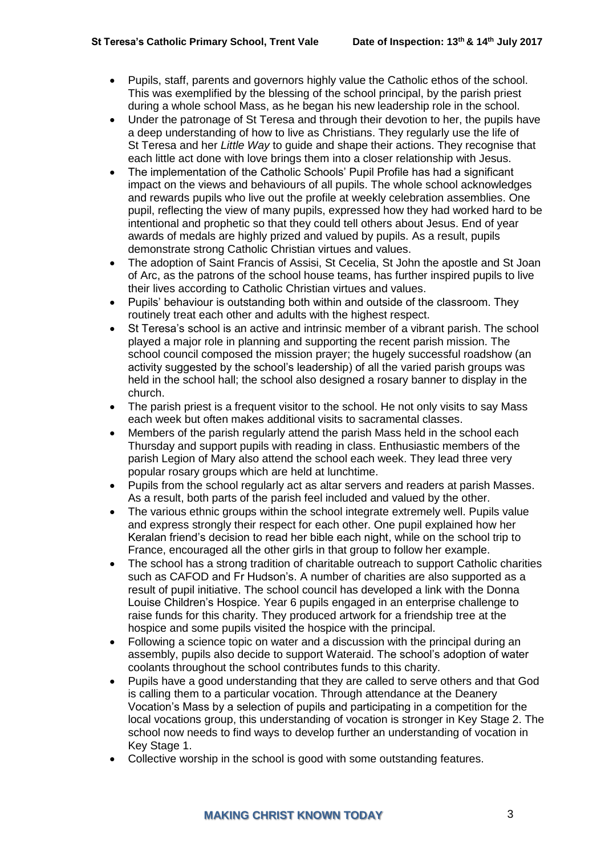- Pupils, staff, parents and governors highly value the Catholic ethos of the school. This was exemplified by the blessing of the school principal, by the parish priest during a whole school Mass, as he began his new leadership role in the school.
- Under the patronage of St Teresa and through their devotion to her, the pupils have a deep understanding of how to live as Christians. They regularly use the life of St Teresa and her *Little Way* to guide and shape their actions. They recognise that each little act done with love brings them into a closer relationship with Jesus.
- The implementation of the Catholic Schools' Pupil Profile has had a significant impact on the views and behaviours of all pupils. The whole school acknowledges and rewards pupils who live out the profile at weekly celebration assemblies. One pupil, reflecting the view of many pupils, expressed how they had worked hard to be intentional and prophetic so that they could tell others about Jesus. End of year awards of medals are highly prized and valued by pupils. As a result, pupils demonstrate strong Catholic Christian virtues and values.
- The adoption of Saint Francis of Assisi, St Cecelia, St John the apostle and St Joan of Arc, as the patrons of the school house teams, has further inspired pupils to live their lives according to Catholic Christian virtues and values.
- Pupils' behaviour is outstanding both within and outside of the classroom. They routinely treat each other and adults with the highest respect.
- St Teresa's school is an active and intrinsic member of a vibrant parish. The school played a major role in planning and supporting the recent parish mission. The school council composed the mission prayer; the hugely successful roadshow (an activity suggested by the school's leadership) of all the varied parish groups was held in the school hall; the school also designed a rosary banner to display in the church.
- The parish priest is a frequent visitor to the school. He not only visits to say Mass each week but often makes additional visits to sacramental classes.
- Members of the parish regularly attend the parish Mass held in the school each Thursday and support pupils with reading in class. Enthusiastic members of the parish Legion of Mary also attend the school each week. They lead three very popular rosary groups which are held at lunchtime.
- Pupils from the school regularly act as altar servers and readers at parish Masses. As a result, both parts of the parish feel included and valued by the other.
- The various ethnic groups within the school integrate extremely well. Pupils value and express strongly their respect for each other. One pupil explained how her Keralan friend's decision to read her bible each night, while on the school trip to France, encouraged all the other girls in that group to follow her example.
- The school has a strong tradition of charitable outreach to support Catholic charities such as CAFOD and Fr Hudson's. A number of charities are also supported as a result of pupil initiative. The school council has developed a link with the Donna Louise Children's Hospice. Year 6 pupils engaged in an enterprise challenge to raise funds for this charity. They produced artwork for a friendship tree at the hospice and some pupils visited the hospice with the principal.
- Following a science topic on water and a discussion with the principal during an assembly, pupils also decide to support Wateraid. The school's adoption of water coolants throughout the school contributes funds to this charity.
- Pupils have a good understanding that they are called to serve others and that God is calling them to a particular vocation. Through attendance at the Deanery Vocation's Mass by a selection of pupils and participating in a competition for the local vocations group, this understanding of vocation is stronger in Key Stage 2. The school now needs to find ways to develop further an understanding of vocation in Key Stage 1.
- Collective worship in the school is good with some outstanding features.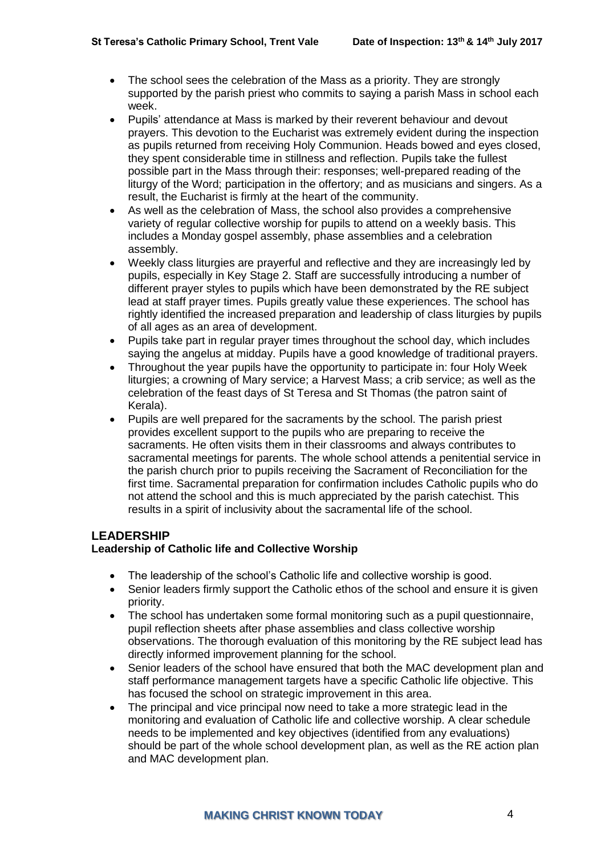- The school sees the celebration of the Mass as a priority. They are strongly supported by the parish priest who commits to saying a parish Mass in school each week.
- Pupils' attendance at Mass is marked by their reverent behaviour and devout prayers. This devotion to the Eucharist was extremely evident during the inspection as pupils returned from receiving Holy Communion. Heads bowed and eyes closed, they spent considerable time in stillness and reflection. Pupils take the fullest possible part in the Mass through their: responses; well-prepared reading of the liturgy of the Word; participation in the offertory; and as musicians and singers. As a result, the Eucharist is firmly at the heart of the community.
- As well as the celebration of Mass, the school also provides a comprehensive variety of regular collective worship for pupils to attend on a weekly basis. This includes a Monday gospel assembly, phase assemblies and a celebration assembly.
- Weekly class liturgies are prayerful and reflective and they are increasingly led by pupils, especially in Key Stage 2. Staff are successfully introducing a number of different prayer styles to pupils which have been demonstrated by the RE subject lead at staff prayer times. Pupils greatly value these experiences. The school has rightly identified the increased preparation and leadership of class liturgies by pupils of all ages as an area of development.
- Pupils take part in regular prayer times throughout the school day, which includes saying the angelus at midday. Pupils have a good knowledge of traditional prayers.
- Throughout the year pupils have the opportunity to participate in: four Holy Week liturgies; a crowning of Mary service; a Harvest Mass; a crib service; as well as the celebration of the feast days of St Teresa and St Thomas (the patron saint of Kerala).
- Pupils are well prepared for the sacraments by the school. The parish priest provides excellent support to the pupils who are preparing to receive the sacraments. He often visits them in their classrooms and always contributes to sacramental meetings for parents. The whole school attends a penitential service in the parish church prior to pupils receiving the Sacrament of Reconciliation for the first time. Sacramental preparation for confirmation includes Catholic pupils who do not attend the school and this is much appreciated by the parish catechist. This results in a spirit of inclusivity about the sacramental life of the school.

# **LEADERSHIP**

# **Leadership of Catholic life and Collective Worship**

- The leadership of the school's Catholic life and collective worship is good.
- Senior leaders firmly support the Catholic ethos of the school and ensure it is given priority.
- The school has undertaken some formal monitoring such as a pupil questionnaire, pupil reflection sheets after phase assemblies and class collective worship observations. The thorough evaluation of this monitoring by the RE subject lead has directly informed improvement planning for the school.
- Senior leaders of the school have ensured that both the MAC development plan and staff performance management targets have a specific Catholic life objective. This has focused the school on strategic improvement in this area.
- The principal and vice principal now need to take a more strategic lead in the monitoring and evaluation of Catholic life and collective worship. A clear schedule needs to be implemented and key objectives (identified from any evaluations) should be part of the whole school development plan, as well as the RE action plan and MAC development plan.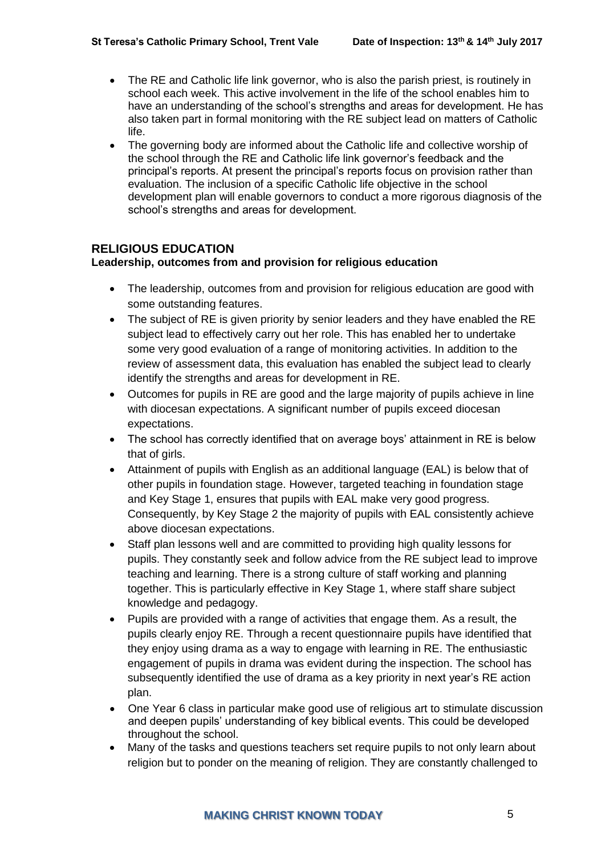- The RE and Catholic life link governor, who is also the parish priest, is routinely in school each week. This active involvement in the life of the school enables him to have an understanding of the school's strengths and areas for development. He has also taken part in formal monitoring with the RE subject lead on matters of Catholic life.
- The governing body are informed about the Catholic life and collective worship of the school through the RE and Catholic life link governor's feedback and the principal's reports. At present the principal's reports focus on provision rather than evaluation. The inclusion of a specific Catholic life objective in the school development plan will enable governors to conduct a more rigorous diagnosis of the school's strengths and areas for development.

# **RELIGIOUS EDUCATION**

# **Leadership, outcomes from and provision for religious education**

- The leadership, outcomes from and provision for religious education are good with some outstanding features.
- The subject of RE is given priority by senior leaders and they have enabled the RE subject lead to effectively carry out her role. This has enabled her to undertake some very good evaluation of a range of monitoring activities. In addition to the review of assessment data, this evaluation has enabled the subject lead to clearly identify the strengths and areas for development in RE.
- Outcomes for pupils in RE are good and the large majority of pupils achieve in line with diocesan expectations. A significant number of pupils exceed diocesan expectations.
- The school has correctly identified that on average boys' attainment in RE is below that of girls.
- Attainment of pupils with English as an additional language (EAL) is below that of other pupils in foundation stage. However, targeted teaching in foundation stage and Key Stage 1, ensures that pupils with EAL make very good progress. Consequently, by Key Stage 2 the majority of pupils with EAL consistently achieve above diocesan expectations.
- Staff plan lessons well and are committed to providing high quality lessons for pupils. They constantly seek and follow advice from the RE subject lead to improve teaching and learning. There is a strong culture of staff working and planning together. This is particularly effective in Key Stage 1, where staff share subject knowledge and pedagogy.
- Pupils are provided with a range of activities that engage them. As a result, the pupils clearly enjoy RE. Through a recent questionnaire pupils have identified that they enjoy using drama as a way to engage with learning in RE. The enthusiastic engagement of pupils in drama was evident during the inspection. The school has subsequently identified the use of drama as a key priority in next year's RE action plan.
- One Year 6 class in particular make good use of religious art to stimulate discussion and deepen pupils' understanding of key biblical events. This could be developed throughout the school.
- Many of the tasks and questions teachers set require pupils to not only learn about religion but to ponder on the meaning of religion. They are constantly challenged to